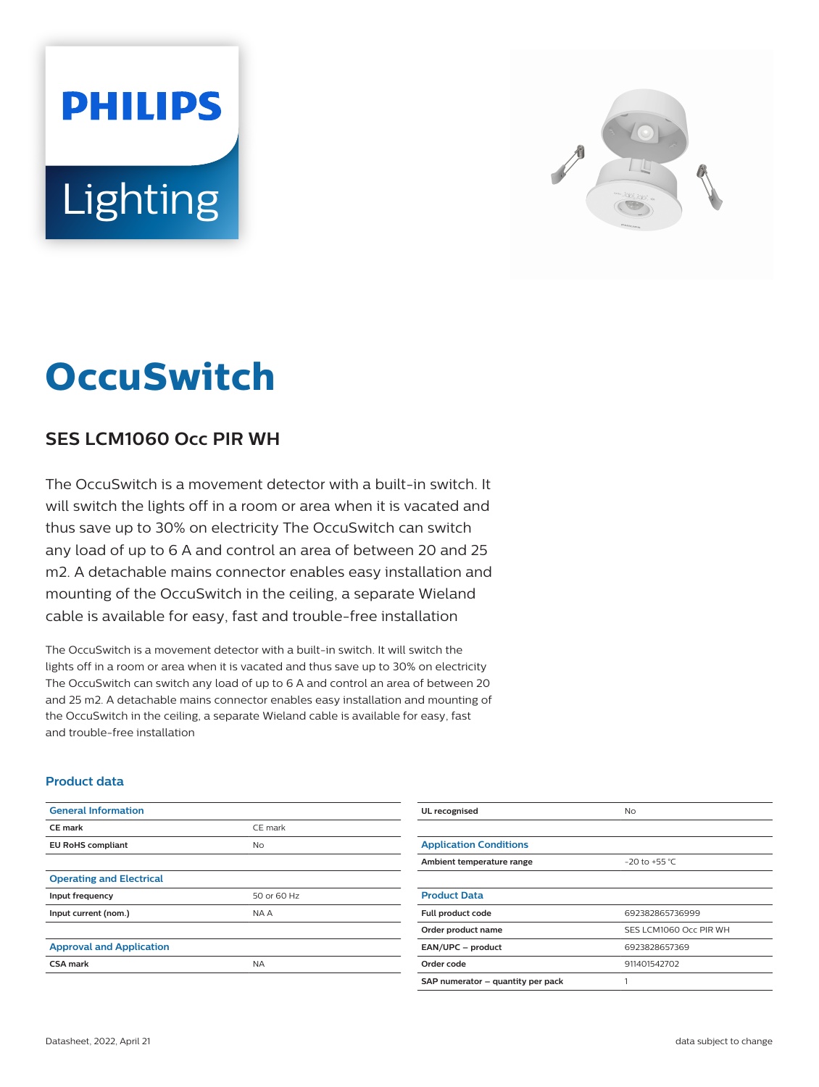# **PHILIPS** Lighting



## **OccuSwitch**

### **SES LCM1060 Occ PIR WH**

The OccuSwitch is a movement detector with a built-in switch. It will switch the lights off in a room or area when it is vacated and thus save up to 30% on electricity The OccuSwitch can switch any load of up to 6 A and control an area of between 20 and 25 m2. A detachable mains connector enables easy installation and mounting of the OccuSwitch in the ceiling, a separate Wieland cable is available for easy, fast and trouble-free installation

The OccuSwitch is a movement detector with a built-in switch. It will switch the lights off in a room or area when it is vacated and thus save up to 30% on electricity The OccuSwitch can switch any load of up to 6 A and control an area of between 20 and 25 m2. A detachable mains connector enables easy installation and mounting of the OccuSwitch in the ceiling, a separate Wieland cable is available for easy, fast and trouble-free installation

#### **Product data**

| <b>General Information</b>      |             | UL recognised                     | <b>No</b>              |
|---------------------------------|-------------|-----------------------------------|------------------------|
| <b>CE mark</b>                  | CE mark     |                                   |                        |
| <b>EU RoHS compliant</b>        | <b>No</b>   | <b>Application Conditions</b>     |                        |
|                                 |             | Ambient temperature range         | $-20$ to +55 °C        |
| <b>Operating and Electrical</b> |             |                                   |                        |
| Input frequency                 | 50 or 60 Hz | <b>Product Data</b>               |                        |
| Input current (nom.)            | NA A        | Full product code                 | 692382865736999        |
|                                 |             | Order product name                | SES LCM1060 Occ PIR WH |
| <b>Approval and Application</b> |             | EAN/UPC - product                 | 6923828657369          |
| <b>CSA mark</b>                 | <b>NA</b>   | Order code                        | 911401542702           |
|                                 |             | SAP numerator - quantity per pack |                        |